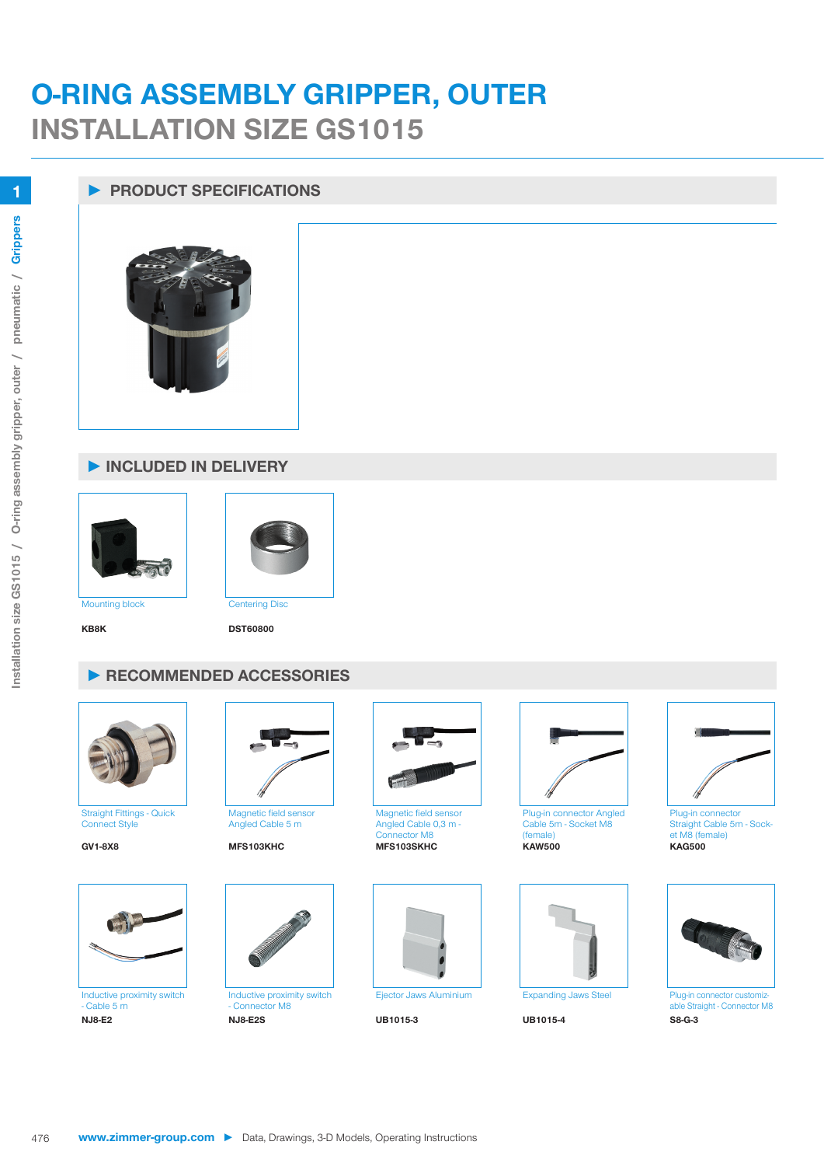## **O-RING ASSEMBLY GRIPPER, OUTER INSTALLATION SIZE GS1015**

## **► PRODUCT SPECIFICATIONS**



## **► INCLUDED IN DELIVERY**





**KB8K DST60800**

## **► RECOMMENDED ACCESSORIES**



Straight Fittings - Quick Connect Style



 $-$  Cable 5 m<br>NJ8-E2



Angled Cable 5 m



Inductive proximity switch - Connector M8<br>NJ8-E2S **NJ8-E2 NJ8-E2S UB1015-3 UB1015-4 S8-G-3**



Magnetic field sensor Angled Cable 0,3 m - Connector M8





Plug-in connector Angled Cable 5m - Socket M8 **KAW500 GV1-8X8 MFS103KHC MFS103SKHC KAW500 KAG500**





Plug-in connector Straight Cable 5m - Socket M8 (female)<br> $KAG500$ 



able Straight - Connector M8